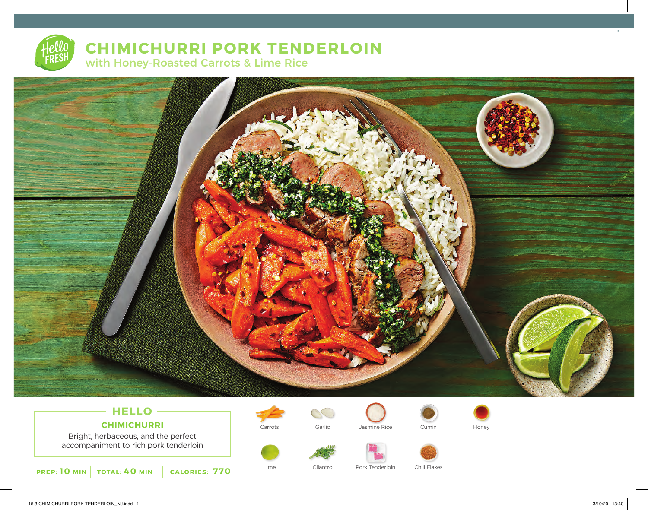# **CHIMICHURRI PORK TENDERLOIN** with Honey-Roasted Carrots & Lime Rice



# **HELLO CHIMICHURRI**

Bright, herbaceous, and the perfect accompaniment to rich pork tenderloin















3